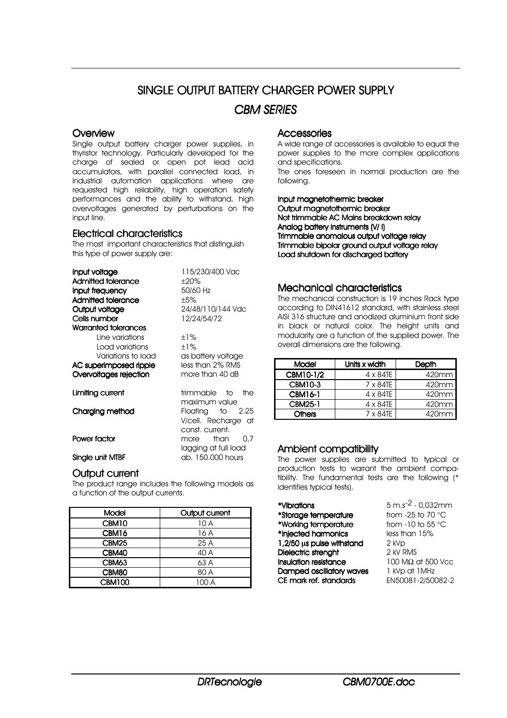# SINGLE OUTPUT BATTERY CHARGER POWER SUPPLY *CBM SERIES*

#### **Overview**

Single output battery charger power supplies, in thyristor technology. Particularly developed for the charge of sealed or open pot lead acid accumulators, with parallel connected load, in industrial automation applications where are requested high reliability, high operation safety performances and the ability to withstand, high overvoltages generated by perturbations on the input line.

#### Electrical characteristics

The most important characteristics that distinguish this type of power supply are:

| Input voltage                         | 115/230/400 Vac                                                             |  |  |  |  |
|---------------------------------------|-----------------------------------------------------------------------------|--|--|--|--|
| Admitted tolerance                    | ±20%                                                                        |  |  |  |  |
| Input frequency                       | 50/60 Hz                                                                    |  |  |  |  |
| Admitted tolerance                    | ±5%                                                                         |  |  |  |  |
| Output voltage                        | 24/48/110/144 Vdc                                                           |  |  |  |  |
| Cells number                          | 12/24/54/72                                                                 |  |  |  |  |
| Warranted tolerances                  |                                                                             |  |  |  |  |
| Line variations                       | $±1\%$                                                                      |  |  |  |  |
| Load variations                       | $+1\%$                                                                      |  |  |  |  |
| Variations to load                    | as battery voltage                                                          |  |  |  |  |
| AC superimposed ripple                | less than 2% RMS                                                            |  |  |  |  |
| Overvoltages rejection                | more than 40 dB                                                             |  |  |  |  |
| Limiting current                      | trimmable to<br>the                                                         |  |  |  |  |
| Charging method                       | maximum value<br>Floating to 2.25<br>V/cell. Recharge at<br>const. current. |  |  |  |  |
| Power factor                          | than<br>0.7<br>more<br>lagging at full load                                 |  |  |  |  |
| ab. 150.000 hours<br>Single unit MTBF |                                                                             |  |  |  |  |

#### Output current

The product range includes the following models as a function of the output currents.

| Model             | Output current |  |  |  |  |
|-------------------|----------------|--|--|--|--|
| CBM <sub>10</sub> | 10 A           |  |  |  |  |
| CBM16             | 16 A           |  |  |  |  |
| CBM <sub>25</sub> | 25 A           |  |  |  |  |
| CBM40             | 40 A           |  |  |  |  |
| CBM63             | 63 A           |  |  |  |  |
| CBM80             | 80 A           |  |  |  |  |
| <b>CBM100</b>     | 100 A          |  |  |  |  |

#### **Accessories**

A wide range of accessories is available to equal the power supplies to the more complex applications and specifications.

The ones foreseen in normal production are the following.

Input magnetothermic breaker Output maanetothermic breaker Not trimmable AC Mains breakdown relay Analog battery instruments (V/ I) Trimmable anomalous output voltage relay Trimmable bipolar ground output voltage relay Load shutdown for discharged battery

## Mechanical characteristics

The mechanical construction is 19 inches Rack type according to DIN41612 standard, with stainless steel AISI 316 structure and anodized aluminium front side in black or natural color. The height units and modularity are a function of the supplied power. The overall dimensions are the following.

| <b>Model</b>   | Units x width    | Depth    |  |  |  |
|----------------|------------------|----------|--|--|--|
| CBM10-1/2      | $4 \times 84$ TE | 420mm    |  |  |  |
| CBM10-3        | $7 \times 84$ TE | 420mm    |  |  |  |
| <b>CBM16-1</b> | $4 \times 84$ TE | 420mm    |  |  |  |
| <b>CBM25-1</b> | $4 \times 84$ TE | 420mm    |  |  |  |
| <b>Others</b>  | 7 x 84TE         | $420$ mm |  |  |  |

### Ambient compatibility

The power supplies are submitted to typical or production tests to warrant the ambient compatibility. The fundamental tests are the following (\* identifies typical tests).

| *Vibrations                     | $5 \text{ m.s}^{-2}$ - 0,032mm   |
|---------------------------------|----------------------------------|
| *Storage temperature            | from -25 to 70 $\degree$ C       |
| *Working temperature            | from -10 to 55 $\degree$ C       |
| *Injected harmonics             | less than 15%                    |
| 1,2/50 µs pulse withstand       | 2 kVp                            |
| Dielectric strenght             | 2 kV RMS                         |
| Insulation resistance           | $100 \text{ M}\Omega$ at 500 Vcc |
| <b>Damped oscillatory waves</b> | 1 kVp at 1 MHz                   |
| CE mark ref. standards          | EN50081-2/50082-2                |
|                                 |                                  |